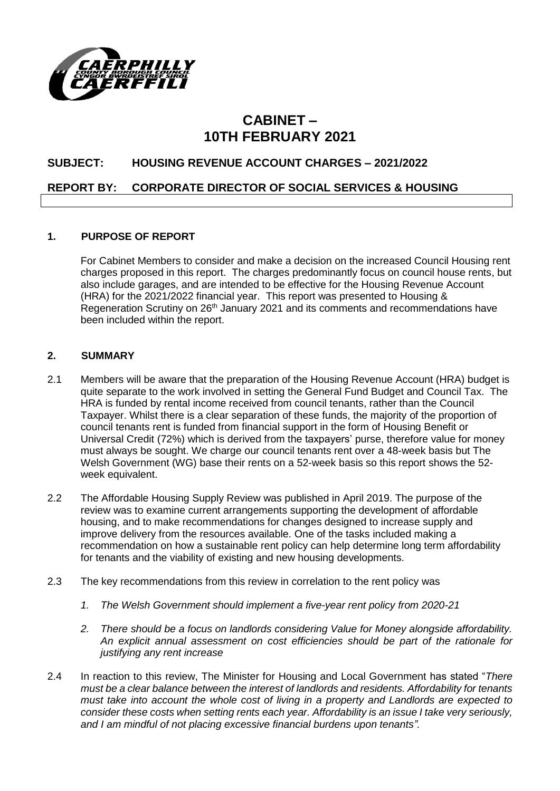

# **CABINET – 10TH FEBRUARY 2021**

# **SUBJECT: HOUSING REVENUE ACCOUNT CHARGES – 2021/2022**

### **REPORT BY: CORPORATE DIRECTOR OF SOCIAL SERVICES & HOUSING**

#### **1. PURPOSE OF REPORT**

For Cabinet Members to consider and make a decision on the increased Council Housing rent charges proposed in this report. The charges predominantly focus on council house rents, but also include garages, and are intended to be effective for the Housing Revenue Account (HRA) for the 2021/2022 financial year. This report was presented to Housing & Regeneration Scrutiny on 26<sup>th</sup> January 2021 and its comments and recommendations have been included within the report.

## **2. SUMMARY**

- 2.1 Members will be aware that the preparation of the Housing Revenue Account (HRA) budget is quite separate to the work involved in setting the General Fund Budget and Council Tax. The HRA is funded by rental income received from council tenants, rather than the Council Taxpayer. Whilst there is a clear separation of these funds, the majority of the proportion of council tenants rent is funded from financial support in the form of Housing Benefit or Universal Credit (72%) which is derived from the taxpayers' purse, therefore value for money must always be sought. We charge our council tenants rent over a 48-week basis but The Welsh Government (WG) base their rents on a 52-week basis so this report shows the 52 week equivalent.
- 2.2 The Affordable Housing Supply Review was published in April 2019. The purpose of the review was to examine current arrangements supporting the development of affordable housing, and to make recommendations for changes designed to increase supply and improve delivery from the resources available. One of the tasks included making a recommendation on how a sustainable rent policy can help determine long term affordability for tenants and the viability of existing and new housing developments.
- 2.3 The key recommendations from this review in correlation to the rent policy was
	- *1. The Welsh Government should implement a five-year rent policy from 2020-21*
	- *2. There should be a focus on landlords considering Value for Money alongside affordability. An explicit annual assessment on cost efficiencies should be part of the rationale for justifying any rent increase*
- 2.4 In reaction to this review, The Minister for Housing and Local Government has stated "*There must be a clear balance between the interest of landlords and residents. Affordability for tenants must take into account the whole cost of living in a property and Landlords are expected to consider these costs when setting rents each year. Affordability is an issue I take very seriously, and I am mindful of not placing excessive financial burdens upon tenants".*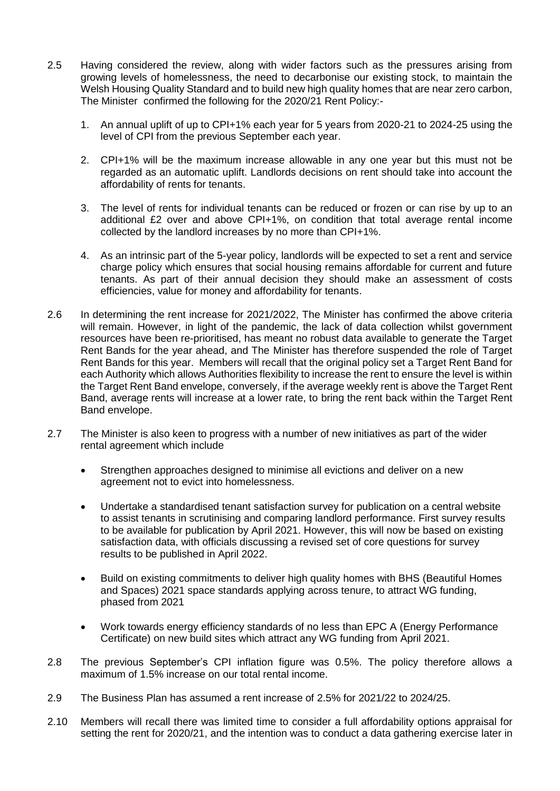- 2.5 Having considered the review, along with wider factors such as the pressures arising from growing levels of homelessness, the need to decarbonise our existing stock, to maintain the Welsh Housing Quality Standard and to build new high quality homes that are near zero carbon, The Minister confirmed the following for the 2020/21 Rent Policy:-
	- 1. An annual uplift of up to CPI+1% each year for 5 years from 2020-21 to 2024-25 using the level of CPI from the previous September each year.
	- 2. CPI+1% will be the maximum increase allowable in any one year but this must not be regarded as an automatic uplift. Landlords decisions on rent should take into account the affordability of rents for tenants.
	- 3. The level of rents for individual tenants can be reduced or frozen or can rise by up to an additional £2 over and above CPI+1%, on condition that total average rental income collected by the landlord increases by no more than CPI+1%.
	- 4. As an intrinsic part of the 5-year policy, landlords will be expected to set a rent and service charge policy which ensures that social housing remains affordable for current and future tenants. As part of their annual decision they should make an assessment of costs efficiencies, value for money and affordability for tenants.
- 2.6 In determining the rent increase for 2021/2022, The Minister has confirmed the above criteria will remain. However, in light of the pandemic, the lack of data collection whilst government resources have been re-prioritised, has meant no robust data available to generate the Target Rent Bands for the year ahead, and The Minister has therefore suspended the role of Target Rent Bands for this year. Members will recall that the original policy set a Target Rent Band for each Authority which allows Authorities flexibility to increase the rent to ensure the level is within the Target Rent Band envelope, conversely, if the average weekly rent is above the Target Rent Band, average rents will increase at a lower rate, to bring the rent back within the Target Rent Band envelope.
- 2.7 The Minister is also keen to progress with a number of new initiatives as part of the wider rental agreement which include
	- Strengthen approaches designed to minimise all evictions and deliver on a new agreement not to evict into homelessness.
	- Undertake a standardised tenant satisfaction survey for publication on a central website to assist tenants in scrutinising and comparing landlord performance. First survey results to be available for publication by April 2021. However, this will now be based on existing satisfaction data, with officials discussing a revised set of core questions for survey results to be published in April 2022.
	- Build on existing commitments to deliver high quality homes with BHS (Beautiful Homes and Spaces) 2021 space standards applying across tenure, to attract WG funding, phased from 2021
	- Work towards energy efficiency standards of no less than EPC A (Energy Performance Certificate) on new build sites which attract any WG funding from April 2021.
- 2.8 The previous September's CPI inflation figure was 0.5%. The policy therefore allows a maximum of 1.5% increase on our total rental income.
- 2.9 The Business Plan has assumed a rent increase of 2.5% for 2021/22 to 2024/25.
- 2.10 Members will recall there was limited time to consider a full affordability options appraisal for setting the rent for 2020/21, and the intention was to conduct a data gathering exercise later in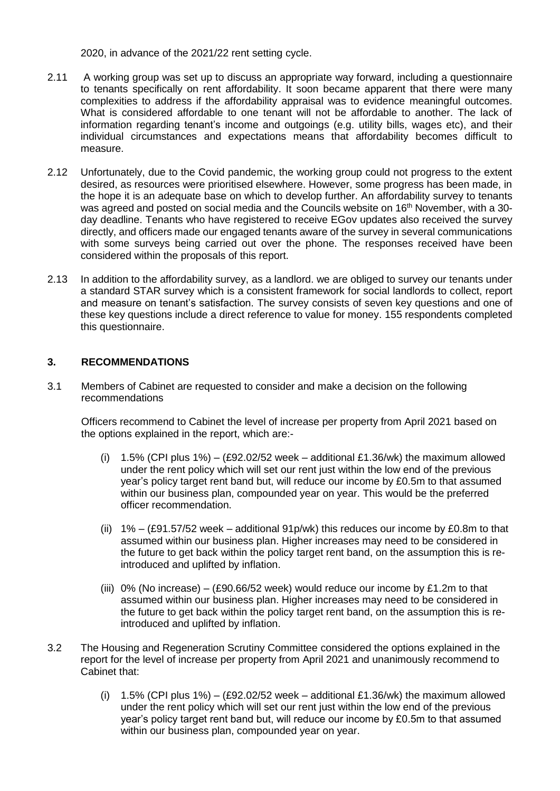2020, in advance of the 2021/22 rent setting cycle.

- 2.11 A working group was set up to discuss an appropriate way forward, including a questionnaire to tenants specifically on rent affordability. It soon became apparent that there were many complexities to address if the affordability appraisal was to evidence meaningful outcomes. What is considered affordable to one tenant will not be affordable to another. The lack of information regarding tenant's income and outgoings (e.g. utility bills, wages etc), and their individual circumstances and expectations means that affordability becomes difficult to measure.
- 2.12 Unfortunately, due to the Covid pandemic, the working group could not progress to the extent desired, as resources were prioritised elsewhere. However, some progress has been made, in the hope it is an adequate base on which to develop further. An affordability survey to tenants was agreed and posted on social media and the Councils website on 16th November, with a 30 day deadline. Tenants who have registered to receive EGov updates also received the survey directly, and officers made our engaged tenants aware of the survey in several communications with some surveys being carried out over the phone. The responses received have been considered within the proposals of this report.
- 2.13 In addition to the affordability survey, as a landlord. we are obliged to survey our tenants under a standard STAR survey which is a consistent framework for social landlords to collect, report and measure on tenant's satisfaction. The survey consists of seven key questions and one of these key questions include a direct reference to value for money. 155 respondents completed this questionnaire.

# **3. RECOMMENDATIONS**

3.1 Members of Cabinet are requested to consider and make a decision on the following recommendations

Officers recommend to Cabinet the level of increase per property from April 2021 based on the options explained in the report, which are:-

- (i)  $1.5\%$  (CPI plus 1%) (£92.02/52 week additional £1.36/wk) the maximum allowed under the rent policy which will set our rent just within the low end of the previous year's policy target rent band but, will reduce our income by £0.5m to that assumed within our business plan, compounded year on year. This would be the preferred officer recommendation.
- (ii)  $1\% (£91.57/52$  week additional 91p/wk) this reduces our income by £0.8m to that assumed within our business plan. Higher increases may need to be considered in the future to get back within the policy target rent band, on the assumption this is reintroduced and uplifted by inflation.
- (iii)  $0\%$  (No increase) (£90.66/52 week) would reduce our income by £1.2m to that assumed within our business plan. Higher increases may need to be considered in the future to get back within the policy target rent band, on the assumption this is reintroduced and uplifted by inflation.
- 3.2 The Housing and Regeneration Scrutiny Committee considered the options explained in the report for the level of increase per property from April 2021 and unanimously recommend to Cabinet that:
	- (i) 1.5% (CPI plus 1%) (£92.02/52 week additional £1.36/wk) the maximum allowed under the rent policy which will set our rent just within the low end of the previous year's policy target rent band but, will reduce our income by £0.5m to that assumed within our business plan, compounded year on year.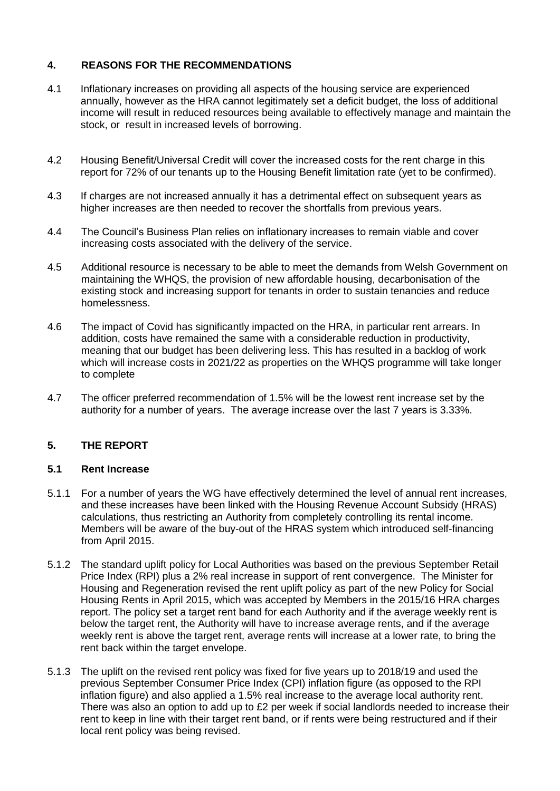# **4. REASONS FOR THE RECOMMENDATIONS**

- 4.1 Inflationary increases on providing all aspects of the housing service are experienced annually, however as the HRA cannot legitimately set a deficit budget, the loss of additional income will result in reduced resources being available to effectively manage and maintain the stock, or result in increased levels of borrowing.
- 4.2 Housing Benefit/Universal Credit will cover the increased costs for the rent charge in this report for 72% of our tenants up to the Housing Benefit limitation rate (yet to be confirmed).
- 4.3 If charges are not increased annually it has a detrimental effect on subsequent years as higher increases are then needed to recover the shortfalls from previous years.
- 4.4 The Council's Business Plan relies on inflationary increases to remain viable and cover increasing costs associated with the delivery of the service.
- 4.5 Additional resource is necessary to be able to meet the demands from Welsh Government on maintaining the WHQS, the provision of new affordable housing, decarbonisation of the existing stock and increasing support for tenants in order to sustain tenancies and reduce homelessness.
- 4.6 The impact of Covid has significantly impacted on the HRA, in particular rent arrears. In addition, costs have remained the same with a considerable reduction in productivity, meaning that our budget has been delivering less. This has resulted in a backlog of work which will increase costs in 2021/22 as properties on the WHQS programme will take longer to complete
- 4.7 The officer preferred recommendation of 1.5% will be the lowest rent increase set by the authority for a number of years. The average increase over the last 7 years is 3.33%.

## **5. THE REPORT**

## **5.1 Rent Increase**

- 5.1.1 For a number of years the WG have effectively determined the level of annual rent increases, and these increases have been linked with the Housing Revenue Account Subsidy (HRAS) calculations, thus restricting an Authority from completely controlling its rental income. Members will be aware of the buy-out of the HRAS system which introduced self-financing from April 2015.
- 5.1.2 The standard uplift policy for Local Authorities was based on the previous September Retail Price Index (RPI) plus a 2% real increase in support of rent convergence. The Minister for Housing and Regeneration revised the rent uplift policy as part of the new Policy for Social Housing Rents in April 2015, which was accepted by Members in the 2015/16 HRA charges report. The policy set a target rent band for each Authority and if the average weekly rent is below the target rent, the Authority will have to increase average rents, and if the average weekly rent is above the target rent, average rents will increase at a lower rate, to bring the rent back within the target envelope.
- 5.1.3 The uplift on the revised rent policy was fixed for five years up to 2018/19 and used the previous September Consumer Price Index (CPI) inflation figure (as opposed to the RPI inflation figure) and also applied a 1.5% real increase to the average local authority rent. There was also an option to add up to £2 per week if social landlords needed to increase their rent to keep in line with their target rent band, or if rents were being restructured and if their local rent policy was being revised.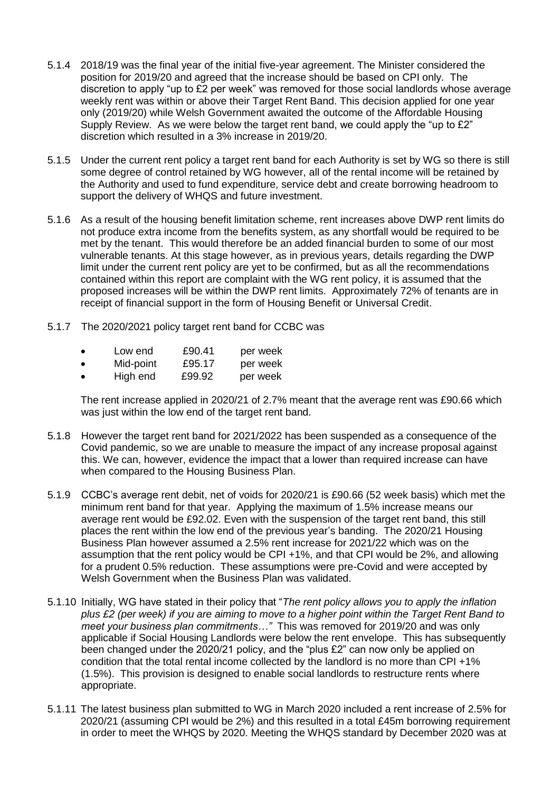- 5.1.4 2018/19 was the final year of the initial five-year agreement. The Minister considered the position for 2019/20 and agreed that the increase should be based on CPI only. The discretion to apply "up to £2 per week" was removed for those social landlords whose average weekly rent was within or above their Target Rent Band. This decision applied for one year only (2019/20) while Welsh Government awaited the outcome of the Affordable Housing Supply Review. As we were below the target rent band, we could apply the "up to £2" discretion which resulted in a 3% increase in 2019/20.
- 5.1.5 Under the current rent policy a target rent band for each Authority is set by WG so there is still some degree of control retained by WG however, all of the rental income will be retained by the Authority and used to fund expenditure, service debt and create borrowing headroom to support the delivery of WHQS and future investment.
- 5.1.6 As a result of the housing benefit limitation scheme, rent increases above DWP rent limits do not produce extra income from the benefits system, as any shortfall would be required to be met by the tenant. This would therefore be an added financial burden to some of our most vulnerable tenants. At this stage however, as in previous years, details regarding the DWP limit under the current rent policy are yet to be confirmed, but as all the recommendations contained within this report are complaint with the WG rent policy, it is assumed that the proposed increases will be within the DWP rent limits. Approximately 72% of tenants are in receipt of financial support in the form of Housing Benefit or Universal Credit.
- 5.1.7 The 2020/2021 policy target rent band for CCBC was
	- Low end £90.41 per week
	- Mid-point £95.17 per week
	- High end £99.92 per week

The rent increase applied in 2020/21 of 2.7% meant that the average rent was £90.66 which was just within the low end of the target rent band.

- 5.1.8 However the target rent band for 2021/2022 has been suspended as a consequence of the Covid pandemic, so we are unable to measure the impact of any increase proposal against this. We can, however, evidence the impact that a lower than required increase can have when compared to the Housing Business Plan.
- 5.1.9 CCBC's average rent debit, net of voids for 2020/21 is £90.66 (52 week basis) which met the minimum rent band for that year. Applying the maximum of 1.5% increase means our average rent would be £92.02. Even with the suspension of the target rent band, this still places the rent within the low end of the previous year's banding. The 2020/21 Housing Business Plan however assumed a 2.5% rent increase for 2021/22 which was on the assumption that the rent policy would be CPI +1%, and that CPI would be 2%, and allowing for a prudent 0.5% reduction. These assumptions were pre-Covid and were accepted by Welsh Government when the Business Plan was validated.
- 5.1.10 Initially, WG have stated in their policy that "*The rent policy allows you to apply the inflation plus £2 (per week) if you are aiming to move to a higher point within the Target Rent Band to meet your business plan commitments…"* This was removed for 2019/20 and was only applicable if Social Housing Landlords were below the rent envelope.This has subsequently been changed under the 2020/21 policy, and the "plus £2" can now only be applied on condition that the total rental income collected by the landlord is no more than CPI +1% (1.5%). This provision is designed to enable social landlords to restructure rents where appropriate.
- 5.1.11 The latest business plan submitted to WG in March 2020 included a rent increase of 2.5% for 2020/21 (assuming CPI would be 2%) and this resulted in a total £45m borrowing requirement in order to meet the WHQS by 2020. Meeting the WHQS standard by December 2020 was at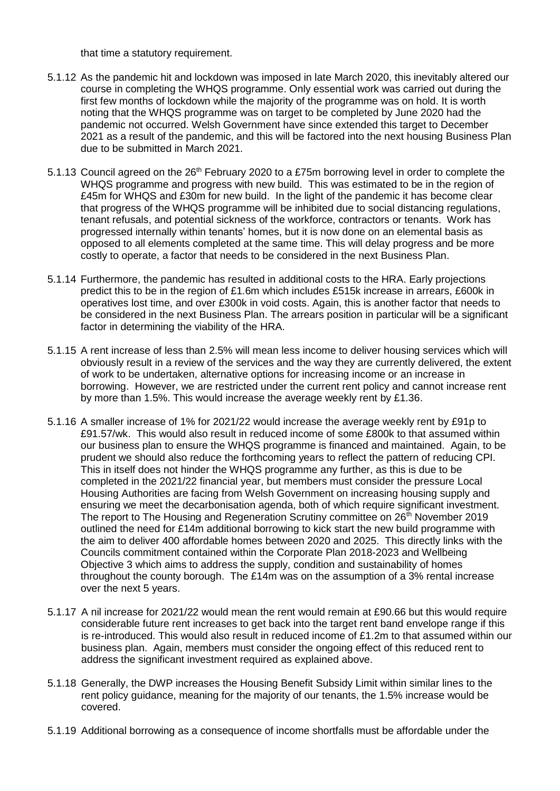that time a statutory requirement.

- 5.1.12 As the pandemic hit and lockdown was imposed in late March 2020, this inevitably altered our course in completing the WHQS programme. Only essential work was carried out during the first few months of lockdown while the majority of the programme was on hold. It is worth noting that the WHQS programme was on target to be completed by June 2020 had the pandemic not occurred. Welsh Government have since extended this target to December 2021 as a result of the pandemic, and this will be factored into the next housing Business Plan due to be submitted in March 2021.
- 5.1.13 Council agreed on the 26<sup>th</sup> February 2020 to a £75m borrowing level in order to complete the WHQS programme and progress with new build. This was estimated to be in the region of £45m for WHQS and £30m for new build. In the light of the pandemic it has become clear that progress of the WHQS programme will be inhibited due to social distancing regulations, tenant refusals, and potential sickness of the workforce, contractors or tenants. Work has progressed internally within tenants' homes, but it is now done on an elemental basis as opposed to all elements completed at the same time. This will delay progress and be more costly to operate, a factor that needs to be considered in the next Business Plan.
- 5.1.14 Furthermore, the pandemic has resulted in additional costs to the HRA. Early projections predict this to be in the region of £1.6m which includes £515k increase in arrears, £600k in operatives lost time, and over £300k in void costs. Again, this is another factor that needs to be considered in the next Business Plan. The arrears position in particular will be a significant factor in determining the viability of the HRA.
- 5.1.15 A rent increase of less than 2.5% will mean less income to deliver housing services which will obviously result in a review of the services and the way they are currently delivered, the extent of work to be undertaken, alternative options for increasing income or an increase in borrowing. However, we are restricted under the current rent policy and cannot increase rent by more than 1.5%. This would increase the average weekly rent by £1.36.
- 5.1.16 A smaller increase of 1% for 2021/22 would increase the average weekly rent by £91p to £91.57/wk. This would also result in reduced income of some £800k to that assumed within our business plan to ensure the WHQS programme is financed and maintained. Again, to be prudent we should also reduce the forthcoming years to reflect the pattern of reducing CPI. This in itself does not hinder the WHQS programme any further, as this is due to be completed in the 2021/22 financial year, but members must consider the pressure Local Housing Authorities are facing from Welsh Government on increasing housing supply and ensuring we meet the decarbonisation agenda, both of which require significant investment. The report to The Housing and Regeneration Scrutiny committee on 26<sup>th</sup> November 2019 outlined the need for £14m additional borrowing to kick start the new build programme with the aim to deliver 400 affordable homes between 2020 and 2025. This directly links with the Councils commitment contained within the Corporate Plan 2018-2023 and Wellbeing Objective 3 which aims to address the supply, condition and sustainability of homes throughout the county borough. The £14m was on the assumption of a 3% rental increase over the next 5 years.
- 5.1.17 A nil increase for 2021/22 would mean the rent would remain at £90.66 but this would require considerable future rent increases to get back into the target rent band envelope range if this is re-introduced. This would also result in reduced income of £1.2m to that assumed within our business plan. Again, members must consider the ongoing effect of this reduced rent to address the significant investment required as explained above.
- 5.1.18 Generally, the DWP increases the Housing Benefit Subsidy Limit within similar lines to the rent policy guidance, meaning for the majority of our tenants, the 1.5% increase would be covered.
- 5.1.19 Additional borrowing as a consequence of income shortfalls must be affordable under the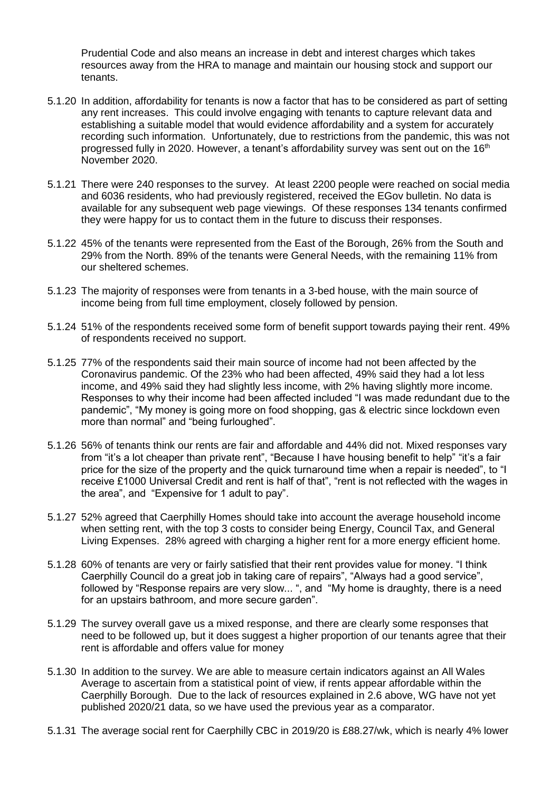Prudential Code and also means an increase in debt and interest charges which takes resources away from the HRA to manage and maintain our housing stock and support our tenants.

- 5.1.20 In addition, affordability for tenants is now a factor that has to be considered as part of setting any rent increases. This could involve engaging with tenants to capture relevant data and establishing a suitable model that would evidence affordability and a system for accurately recording such information. Unfortunately, due to restrictions from the pandemic, this was not progressed fully in 2020. However, a tenant's affordability survey was sent out on the 16<sup>th</sup> November 2020.
- 5.1.21 There were 240 responses to the survey. At least 2200 people were reached on social media and 6036 residents, who had previously registered, received the EGov bulletin. No data is available for any subsequent web page viewings. Of these responses 134 tenants confirmed they were happy for us to contact them in the future to discuss their responses.
- 5.1.22 45% of the tenants were represented from the East of the Borough, 26% from the South and 29% from the North. 89% of the tenants were General Needs, with the remaining 11% from our sheltered schemes.
- 5.1.23 The majority of responses were from tenants in a 3-bed house, with the main source of income being from full time employment, closely followed by pension.
- 5.1.24 51% of the respondents received some form of benefit support towards paying their rent. 49% of respondents received no support.
- 5.1.25 77% of the respondents said their main source of income had not been affected by the Coronavirus pandemic. Of the 23% who had been affected, 49% said they had a lot less income, and 49% said they had slightly less income, with 2% having slightly more income. Responses to why their income had been affected included "I was made redundant due to the pandemic", "My money is going more on food shopping, gas & electric since lockdown even more than normal" and "being furloughed".
- 5.1.26 56% of tenants think our rents are fair and affordable and 44% did not. Mixed responses vary from "it's a lot cheaper than private rent", "Because I have housing benefit to help" "it's a fair price for the size of the property and the quick turnaround time when a repair is needed", to "I receive £1000 Universal Credit and rent is half of that", "rent is not reflected with the wages in the area", and "Expensive for 1 adult to pay".
- 5.1.27 52% agreed that Caerphilly Homes should take into account the average household income when setting rent, with the top 3 costs to consider being Energy, Council Tax, and General Living Expenses. 28% agreed with charging a higher rent for a more energy efficient home.
- 5.1.28 60% of tenants are very or fairly satisfied that their rent provides value for money. "I think Caerphilly Council do a great job in taking care of repairs", "Always had a good service", followed by "Response repairs are very slow... ", and "My home is draughty, there is a need for an upstairs bathroom, and more secure garden".
- 5.1.29 The survey overall gave us a mixed response, and there are clearly some responses that need to be followed up, but it does suggest a higher proportion of our tenants agree that their rent is affordable and offers value for money
- 5.1.30 In addition to the survey. We are able to measure certain indicators against an All Wales Average to ascertain from a statistical point of view, if rents appear affordable within the Caerphilly Borough. Due to the lack of resources explained in 2.6 above, WG have not yet published 2020/21 data, so we have used the previous year as a comparator.
- 5.1.31 The average social rent for Caerphilly CBC in 2019/20 is £88.27/wk, which is nearly 4% lower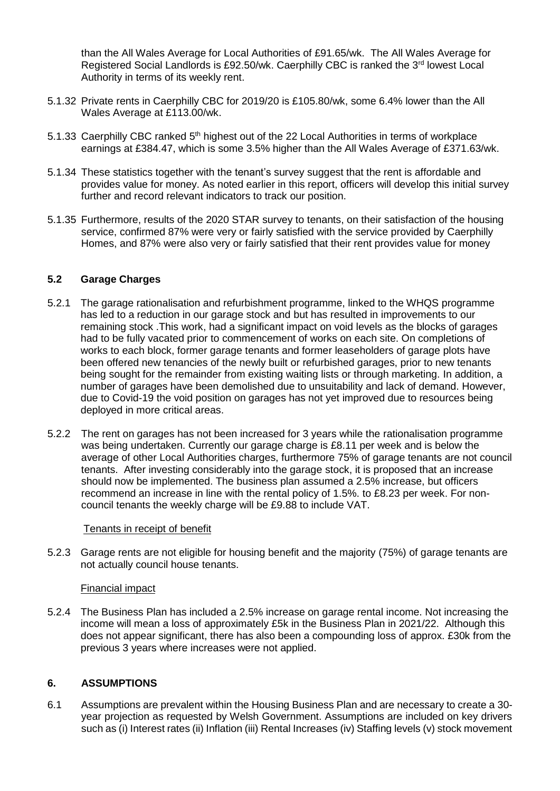than the All Wales Average for Local Authorities of £91.65/wk. The All Wales Average for Registered Social Landlords is £92.50/wk. Caerphilly CBC is ranked the 3rd lowest Local Authority in terms of its weekly rent.

- 5.1.32 Private rents in Caerphilly CBC for 2019/20 is £105.80/wk, some 6.4% lower than the All Wales Average at £113.00/wk.
- 5.1.33 Caerphilly CBC ranked 5<sup>th</sup> highest out of the 22 Local Authorities in terms of workplace earnings at £384.47, which is some 3.5% higher than the All Wales Average of £371.63/wk.
- 5.1.34 These statistics together with the tenant's survey suggest that the rent is affordable and provides value for money. As noted earlier in this report, officers will develop this initial survey further and record relevant indicators to track our position.
- 5.1.35 Furthermore, results of the 2020 STAR survey to tenants, on their satisfaction of the housing service, confirmed 87% were very or fairly satisfied with the service provided by Caerphilly Homes, and 87% were also very or fairly satisfied that their rent provides value for money

# **5.2 Garage Charges**

- 5.2.1 The garage rationalisation and refurbishment programme, linked to the WHQS programme has led to a reduction in our garage stock and but has resulted in improvements to our remaining stock .This work, had a significant impact on void levels as the blocks of garages had to be fully vacated prior to commencement of works on each site. On completions of works to each block, former garage tenants and former leaseholders of garage plots have been offered new tenancies of the newly built or refurbished garages, prior to new tenants being sought for the remainder from existing waiting lists or through marketing. In addition, a number of garages have been demolished due to unsuitability and lack of demand. However, due to Covid-19 the void position on garages has not yet improved due to resources being deployed in more critical areas.
- 5.2.2 The rent on garages has not been increased for 3 years while the rationalisation programme was being undertaken. Currently our garage charge is £8.11 per week and is below the average of other Local Authorities charges, furthermore 75% of garage tenants are not council tenants. After investing considerably into the garage stock, it is proposed that an increase should now be implemented. The business plan assumed a 2.5% increase, but officers recommend an increase in line with the rental policy of 1.5%. to £8.23 per week. For noncouncil tenants the weekly charge will be £9.88 to include VAT.

#### Tenants in receipt of benefit

5.2.3 Garage rents are not eligible for housing benefit and the majority (75%) of garage tenants are not actually council house tenants.

#### Financial impact

5.2.4 The Business Plan has included a 2.5% increase on garage rental income. Not increasing the income will mean a loss of approximately £5k in the Business Plan in 2021/22. Although this does not appear significant, there has also been a compounding loss of approx. £30k from the previous 3 years where increases were not applied.

#### **6. ASSUMPTIONS**

6.1 Assumptions are prevalent within the Housing Business Plan and are necessary to create a 30 year projection as requested by Welsh Government. Assumptions are included on key drivers such as (i) Interest rates (ii) Inflation (iii) Rental Increases (iv) Staffing levels (v) stock movement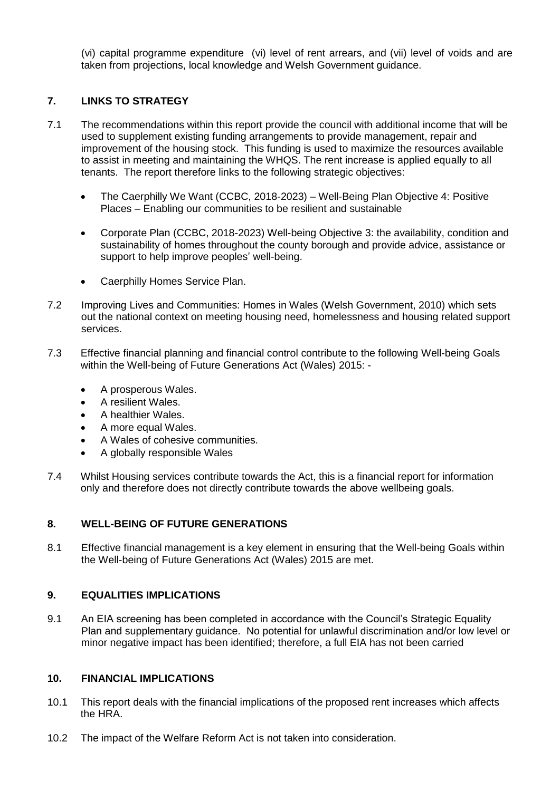(vi) capital programme expenditure (vi) level of rent arrears, and (vii) level of voids and are taken from projections, local knowledge and Welsh Government guidance.

# **7. LINKS TO STRATEGY**

- 7.1 The recommendations within this report provide the council with additional income that will be used to supplement existing funding arrangements to provide management, repair and improvement of the housing stock. This funding is used to maximize the resources available to assist in meeting and maintaining the WHQS. The rent increase is applied equally to all tenants. The report therefore links to the following strategic objectives:
	- The Caerphilly We Want (CCBC, 2018-2023) Well-Being Plan Objective 4: Positive Places – Enabling our communities to be resilient and sustainable
	- Corporate Plan (CCBC, 2018-2023) Well-being Objective 3: the availability, condition and sustainability of homes throughout the county borough and provide advice, assistance or support to help improve peoples' well-being.
	- Caerphilly Homes Service Plan.
- 7.2 Improving Lives and Communities: Homes in Wales (Welsh Government, 2010) which sets out the national context on meeting housing need, homelessness and housing related support services.
- 7.3 Effective financial planning and financial control contribute to the following Well-being Goals within the Well-being of Future Generations Act (Wales) 2015: -
	- A prosperous Wales.
	- A resilient Wales.
	- A healthier Wales.
	- A more equal Wales.
	- A Wales of cohesive communities.
	- A globally responsible Wales
- 7.4 Whilst Housing services contribute towards the Act, this is a financial report for information only and therefore does not directly contribute towards the above wellbeing goals.

## **8. WELL-BEING OF FUTURE GENERATIONS**

8.1 Effective financial management is a key element in ensuring that the Well-being Goals within the Well-being of Future Generations Act (Wales) 2015 are met.

# **9. EQUALITIES IMPLICATIONS**

9.1 An EIA screening has been completed in accordance with the Council's Strategic Equality Plan and supplementary guidance. No potential for unlawful discrimination and/or low level or minor negative impact has been identified; therefore, a full EIA has not been carried

## **10. FINANCIAL IMPLICATIONS**

- 10.1 This report deals with the financial implications of the proposed rent increases which affects the HRA.
- 10.2 The impact of the Welfare Reform Act is not taken into consideration.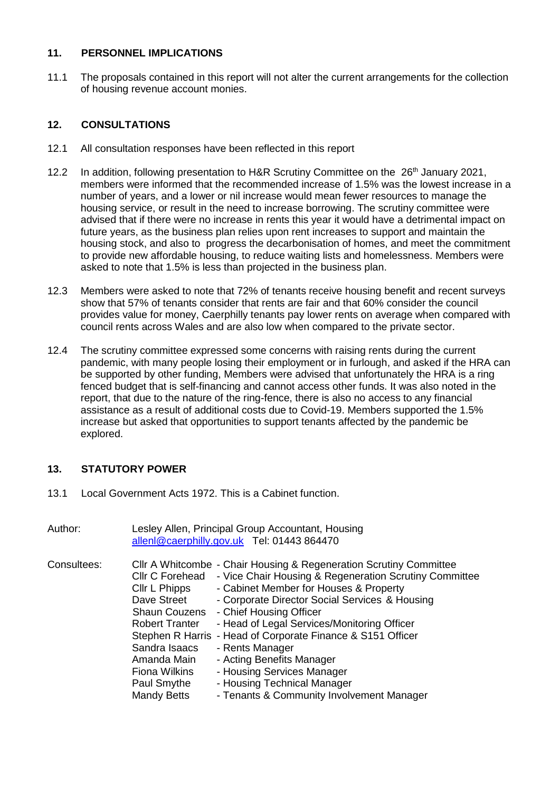## **11. PERSONNEL IMPLICATIONS**

11.1 The proposals contained in this report will not alter the current arrangements for the collection of housing revenue account monies.

# **12. CONSULTATIONS**

- 12.1 All consultation responses have been reflected in this report
- 12.2 In addition, following presentation to H&R Scrutiny Committee on the 26<sup>th</sup> January 2021, members were informed that the recommended increase of 1.5% was the lowest increase in a number of years, and a lower or nil increase would mean fewer resources to manage the housing service, or result in the need to increase borrowing. The scrutiny committee were advised that if there were no increase in rents this year it would have a detrimental impact on future years, as the business plan relies upon rent increases to support and maintain the housing stock, and also to progress the decarbonisation of homes, and meet the commitment to provide new affordable housing, to reduce waiting lists and homelessness. Members were asked to note that 1.5% is less than projected in the business plan.
- 12.3 Members were asked to note that 72% of tenants receive housing benefit and recent surveys show that 57% of tenants consider that rents are fair and that 60% consider the council provides value for money, Caerphilly tenants pay lower rents on average when compared with council rents across Wales and are also low when compared to the private sector.
- 12.4 The scrutiny committee expressed some concerns with raising rents during the current pandemic, with many people losing their employment or in furlough, and asked if the HRA can be supported by other funding, Members were advised that unfortunately the HRA is a ring fenced budget that is self-financing and cannot access other funds. It was also noted in the report, that due to the nature of the ring-fence, there is also no access to any financial assistance as a result of additional costs due to Covid-19. Members supported the 1.5% increase but asked that opportunities to support tenants affected by the pandemic be explored.

# **13. STATUTORY POWER**

13.1 Local Government Acts 1972. This is a Cabinet function.

| Author:     |                                                                                                                                                                                        | Lesley Allen, Principal Group Accountant, Housing<br>allenl@caerphilly.gov.uk Tel: 01443 864470                                                                                                                                                                                                                                                                                                                                                                                                                             |
|-------------|----------------------------------------------------------------------------------------------------------------------------------------------------------------------------------------|-----------------------------------------------------------------------------------------------------------------------------------------------------------------------------------------------------------------------------------------------------------------------------------------------------------------------------------------------------------------------------------------------------------------------------------------------------------------------------------------------------------------------------|
| Consultees: | Cllr C Forehead<br>Cllr L Phipps<br>Dave Street<br><b>Shaun Couzens</b><br><b>Robert Tranter</b><br>Sandra Isaacs<br>Amanda Main<br><b>Fiona Wilkins</b><br>Paul Smythe<br>Mandy Betts | CIIr A Whitcombe - Chair Housing & Regeneration Scrutiny Committee<br>- Vice Chair Housing & Regeneration Scrutiny Committee<br>- Cabinet Member for Houses & Property<br>- Corporate Director Social Services & Housing<br>- Chief Housing Officer<br>- Head of Legal Services/Monitoring Officer<br>Stephen R Harris - Head of Corporate Finance & S151 Officer<br>- Rents Manager<br>- Acting Benefits Manager<br>- Housing Services Manager<br>- Housing Technical Manager<br>- Tenants & Community Involvement Manager |